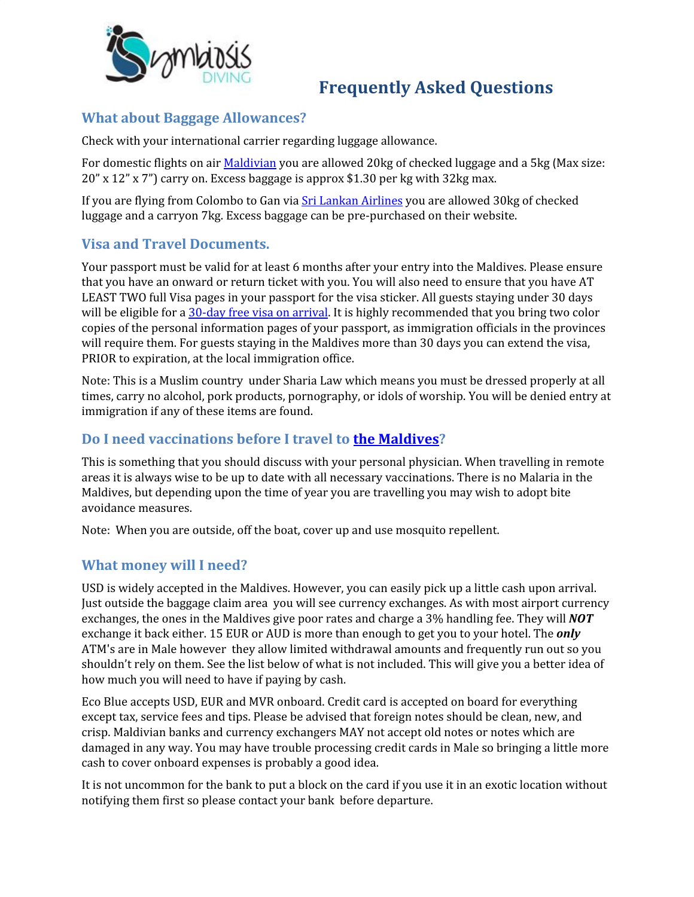

# **Frequently Asked Questions**

#### **What about Baggage Allowances?**

Check with your international carrier regarding luggage allowance.

For domestic flights on air [Maldivian](https://maldivian.aero/flying-with-us/before-you-fly/faq.html) you are allowed 20kg of checked luggage and a 5kg (Max size: 20" x 12" x 7") carry on. Excess baggage is approx \$1.30 per kg with 32kg max.

If you are flying from Colombo to Gan via Sri Lankan [Airlines](https://www.srilankan.com/en_uk/plan-and-book/luggage) you are allowed 30kg of checked luggage and a carryon 7kg. Excess baggage can be pre-purchased on their website.

#### **Visa and Travel Documents.**

Your passport must be valid for at least 6 months after your entry into the Maldives. Please ensure that you have an onward or return ticket with you. You will also need to ensure that you have AT LEAST TWO full Visa pages in your passport for the visa sticker. All guests staying under 30 days will be eligible for a [30-day](https://www.foreign.gov.mv/index.php/en/consular/for-foreigners-visiting-maldives/maldives-visa) free visa on arrival. It is highly recommended that you bring two color copies of the personal information pages of your passport, as immigration officials in the provinces will require them. For guests staying in the Maldives more than 30 days you can extend the visa, PRIOR to expiration, at the local immigration office.

Note: This is a Muslim country under Sharia Law which means you must be dressed properly at all times, carry no alcohol, pork products, pornography, or idols of worship. You will be denied entry at immigration if any of these items are found.

#### **Do I need vaccinations before I travel to the [Maldives?](https://www.passporthealthusa.com/destination-advice/maldives/)**

This is something that you should discuss with your personal physician. When travelling in remote areas it is always wise to be up to date with all necessary vaccinations. There is no Malaria in the Maldives, but depending upon the time of year you are travelling you may wish to adopt bite avoidance measures.

Note: When you are outside, off the boat, cover up and use mosquito repellent.

#### **What money will I need?**

USD is widely accepted in the Maldives. However, you can easily pick up a little cash upon arrival. Just outside the baggage claim area you will see currency exchanges. As with most airport currency exchanges, the ones in the Maldives give poor rates and charge a 3% handling fee. They will *NOT* exchange it back either. 15 EUR or AUD is more than enough to get you to your hotel. The *only* ATM's are in Male however they allow limited withdrawal amounts and frequently run out so you shouldn't rely on them. See the list below of what is not included. This will give you a better idea of how much you will need to have if paying by cash.

Eco Blue accepts USD, EUR and MVR onboard. Credit card is accepted on board for everything except tax, service fees and tips. Please be advised that foreign notes should be clean, new, and crisp. Maldivian banks and currency exchangers MAY not accept old notes or notes which are damaged in any way. You may have trouble processing credit cards in Male so bringing a little more cash to cover onboard expenses is probably a good idea.

It is not uncommon for the bank to put a block on the card if you use it in an exotic location without notifying them first so please contact your bank before departure.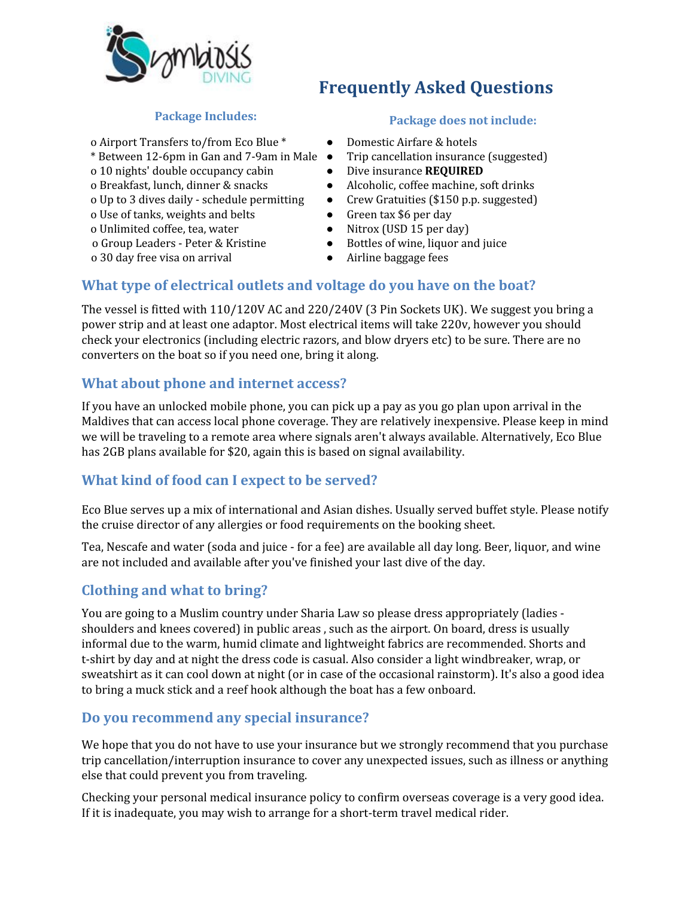

- o Airport Transfers to/from Eco Blue \*
- \* Between 12-6pm in Gan and 7-9am in Male
- o 10 nights' double occupancy cabin Dive insurance **REQUIRED**
- 
- 
- o Use of tanks, weights and belts Green tax \$6 per day
- 
- 
- o 30 day free visa on arrival Airline baggage fees

# **Frequently Asked Questions**

# **Package Includes: Package does not include:**

- Domestic Airfare & hotels
	- Trip cancellation insurance (suggested)
	-
- o Breakfast, lunch, dinner & snacks Alcoholic, coffee machine, soft drinks
- o Up to 3 dives daily schedule permitting Crew Gratuities (\$150 p.p. suggested)
	-
- o Unlimited coffee, tea, water Nitrox (USD 15 per day)
- o Group Leaders Peter & Kristine Bottles of wine, liquor and juice
	-

## **What type of electrical outlets and voltage do you have on the boat?**

The vessel is fitted with 110/120V AC and 220/240V (3 Pin Sockets UK). We suggest you bring a power strip and at least one adaptor. Most electrical items will take 220v, however you should check your electronics (including electric razors, and blow dryers etc) to be sure. There are no converters on the boat so if you need one, bring it along.

#### **What about phone and internet access?**

If you have an unlocked mobile phone, you can pick up a pay as you go plan upon arrival in the Maldives that can access local phone coverage. They are relatively inexpensive. Please keep in mind we will be traveling to a remote area where signals aren't always available. Alternatively, Eco Blue has 2GB plans available for \$20, again this is based on signal availability.

# **What kind of food can I expect to be served?**

Eco Blue serves up a mix of international and Asian dishes. Usually served buffet style. Please notify the cruise director of any allergies or food requirements on the booking sheet.

Tea, Nescafe and water (soda and juice - for a fee) are available all day long. Beer, liquor, and wine are not included and available after you've finished your last dive of the day.

# **Clothing and what to bring?**

You are going to a Muslim country under Sharia Law so please dress appropriately (ladies shoulders and knees covered) in public areas , such as the airport. On board, dress is usually informal due to the warm, humid climate and lightweight fabrics are recommended. Shorts and t-shirt by day and at night the dress code is casual. Also consider a light windbreaker, wrap, or sweatshirt as it can cool down at night (or in case of the occasional rainstorm). It's also a good idea to bring a muck stick and a reef hook although the boat has a few onboard.

#### **Do you recommend any special insurance?**

We hope that you do not have to use your insurance but we strongly recommend that you purchase trip cancellation/interruption insurance to cover any unexpected issues, such as illness or anything else that could prevent you from traveling.

Checking your personal medical insurance policy to confirm overseas coverage is a very good idea. If it is inadequate, you may wish to arrange for a short-term travel medical rider.